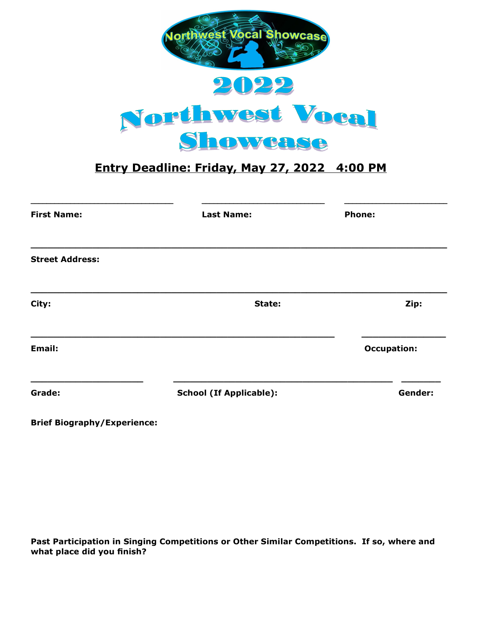

## **Entry Deadline: Friday, May 27, 2022 4:00 PM**

| <b>First Name:</b>     | <b>Last Name:</b>              | <b>Phone:</b>      |
|------------------------|--------------------------------|--------------------|
| <b>Street Address:</b> |                                |                    |
| City:                  | State:                         | Zip:               |
| Email:                 |                                | <b>Occupation:</b> |
| Grade:                 | <b>School (If Applicable):</b> | Gender:            |

**Brief Biography/Experience:**

**Past Participation in Singing Competitions or Other Similar Competitions. If so, where and what place did you finish?**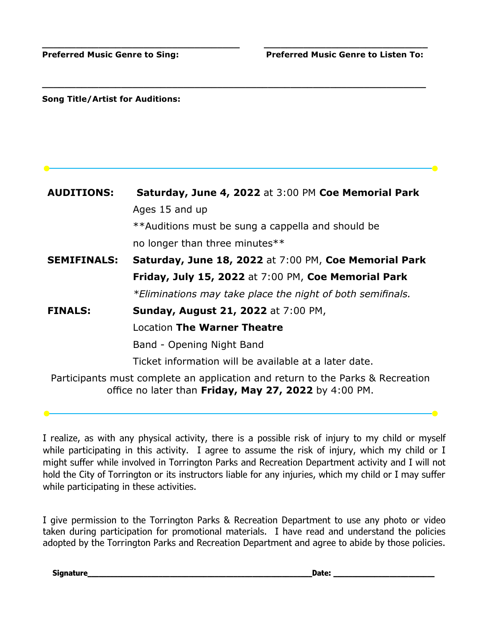**Song Title/Artist for Auditions:**

| <b>AUDITIONS:</b>  | Saturday, June 4, 2022 at 3:00 PM Coe Memorial Park                                                                                     |
|--------------------|-----------------------------------------------------------------------------------------------------------------------------------------|
|                    | Ages 15 and up                                                                                                                          |
|                    | **Auditions must be sung a cappella and should be                                                                                       |
|                    | no longer than three minutes**                                                                                                          |
| <b>SEMIFINALS:</b> | Saturday, June 18, 2022 at 7:00 PM, Coe Memorial Park                                                                                   |
|                    | Friday, July 15, 2022 at 7:00 PM, Coe Memorial Park                                                                                     |
|                    | *Eliminations may take place the night of both semifinals.                                                                              |
| <b>FINALS:</b>     | <b>Sunday, August 21, 2022</b> at 7:00 PM,                                                                                              |
|                    | Location The Warner Theatre                                                                                                             |
|                    | Band - Opening Night Band                                                                                                               |
|                    | Ticket information will be available at a later date.                                                                                   |
|                    | Participants must complete an application and return to the Parks & Recreation<br>office no later than Friday, May 27, 2022 by 4:00 PM. |

**\_\_\_\_\_\_\_\_\_\_\_\_\_\_\_\_\_\_\_\_\_\_\_\_\_\_\_\_\_\_\_\_\_\_\_ \_\_\_\_\_\_\_\_\_\_\_\_\_\_\_\_\_\_\_\_\_\_\_\_\_\_\_\_\_**

**\_\_\_\_\_\_\_\_\_\_\_\_\_\_\_\_\_\_\_\_\_\_\_\_\_\_\_\_\_\_\_\_\_\_\_\_\_\_\_\_\_\_\_\_\_\_\_\_\_\_\_\_\_\_\_\_\_\_\_\_\_\_\_\_\_\_\_\_**

I realize, as with any physical activity, there is a possible risk of injury to my child or myself while participating in this activity. I agree to assume the risk of injury, which my child or I might suffer while involved in Torrington Parks and Recreation Department activity and I will not hold the City of Torrington or its instructors liable for any injuries, which my child or I may suffer while participating in these activities.

I give permission to the Torrington Parks & Recreation Department to use any photo or video taken during participation for promotional materials. I have read and understand the policies adopted by the Torrington Parks and Recreation Department and agree to abide by those policies.

**Signature\_\_\_\_\_\_\_\_\_\_\_\_\_\_\_\_\_\_\_\_\_\_\_\_\_\_\_\_\_\_\_\_\_\_\_\_\_\_\_\_\_\_\_\_\_\_\_\_\_\_\_\_\_\_\_\_\_\_\_\_Date: \_\_\_\_\_\_\_\_\_\_\_\_\_\_\_\_\_\_\_\_\_\_\_\_\_\_\_**